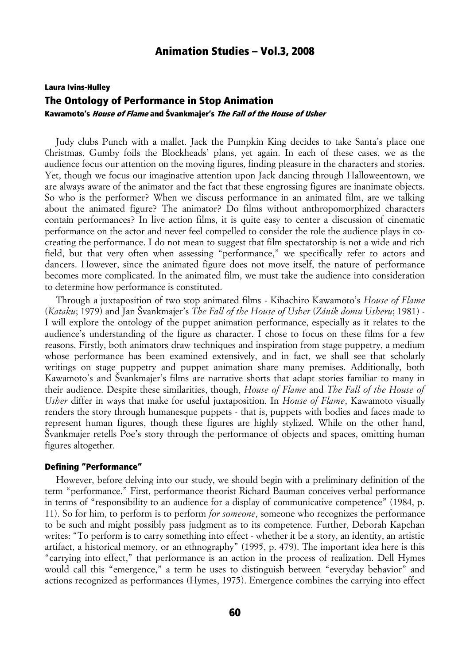# Laura Ivins-Hulley The Ontology of Performance in Stop Animation Kawamoto's House of Flame and Švankmajer's The Fall of the House of Usher

Judy clubs Punch with a mallet. Jack the Pumpkin King decides to take Santa's place one Christmas. Gumby foils the Blockheads' plans, yet again. In each of these cases, we as the audience focus our attention on the moving figures, finding pleasure in the characters and stories. Yet, though we focus our imaginative attention upon Jack dancing through Halloweentown, we are always aware of the animator and the fact that these engrossing figures are inanimate objects. So who is the performer? When we discuss performance in an animated film, are we talking about the animated figure? The animator? Do films without anthropomorphized characters contain performances? In live action films, it is quite easy to center a discussion of cinematic performance on the actor and never feel compelled to consider the role the audience plays in cocreating the performance. I do not mean to suggest that film spectatorship is not a wide and rich field, but that very often when assessing "performance," we specifically refer to actors and dancers. However, since the animated figure does not move itself, the nature of performance becomes more complicated. In the animated film, we must take the audience into consideration to determine how performance is constituted.

Through a juxtaposition of two stop animated films - Kihachiro Kawamoto's *House of Flame* (*Kataku*; 1979) and Jan Švankmajer's *The Fall of the House of Usher* (*Zánik domu Usheru*; 1981) - I will explore the ontology of the puppet animation performance, especially as it relates to the audience's understanding of the figure as character. I chose to focus on these films for a few reasons. Firstly, both animators draw techniques and inspiration from stage puppetry, a medium whose performance has been examined extensively, and in fact, we shall see that scholarly writings on stage puppetry and puppet animation share many premises. Additionally, both Kawamoto's and Švankmajer's films are narrative shorts that adapt stories familiar to many in their audience. Despite these similarities, though, *House of Flame* and *The Fall of the House of Usher* differ in ways that make for useful juxtaposition. In *House of Flame*, Kawamoto visually renders the story through humanesque puppets - that is, puppets with bodies and faces made to represent human figures, though these figures are highly stylized. While on the other hand, Švankmajer retells Poe's story through the performance of objects and spaces, omitting human figures altogether.

#### Defining "Performance"

However, before delving into our study, we should begin with a preliminary definition of the term "performance." First, performance theorist Richard Bauman conceives verbal performance in terms of "responsibility to an audience for a display of communicative competence" (1984, p. 11). So for him, to perform is to perform *for someone*, someone who recognizes the performance to be such and might possibly pass judgment as to its competence. Further, Deborah Kapchan writes: "To perform is to carry something into effect - whether it be a story, an identity, an artistic artifact, a historical memory, or an ethnography" (1995, p. 479). The important idea here is this "carrying into effect," that performance is an action in the process of realization. Dell Hymes would call this "emergence," a term he uses to distinguish between "everyday behavior" and actions recognized as performances (Hymes, 1975). Emergence combines the carrying into effect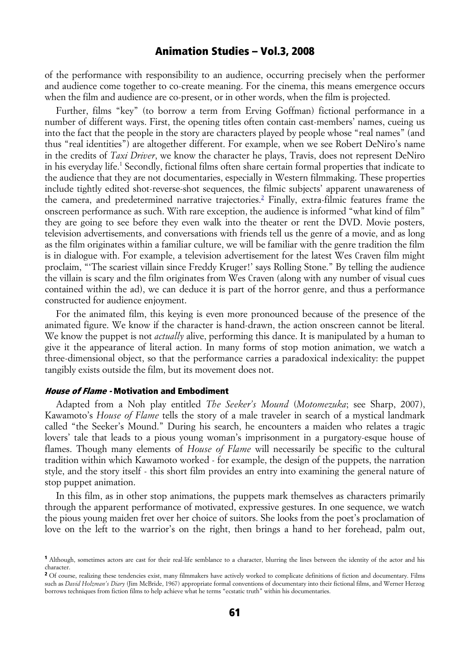of the performance with responsibility to an audience, occurring precisely when the performer and audience come together to co-create meaning. For the cinema, this means emergence occurs when the film and audience are co-present, or in other words, when the film is projected.

Further, films "key" (to borrow a term from Erving Goffman) fictional performance in a number of different ways. First, the opening titles often contain cast-members' names, cueing us into the fact that the people in the story are characters played by people whose "real names" (and thus "real identities") are altogether different. For example, when we see Robert DeNiro's name in the credits of *Taxi Driver*, we know the character he plays, Travis, does not represent DeNiro in his everyday life.<sup>1</sup> Secondly, fictional films often share certain formal properties that indicate to the audience that they are not documentaries, especially in Western filmmaking. These properties include tightly edited shot-reverse-shot sequences, the filmic subjects' apparent unawareness of the camera, and predetermined narrative trajectories.<sup>2</sup> Finally, extra-filmic features frame the onscreen performance as such. With rare exception, the audience is informed "what kind of film" they are going to see before they even walk into the theater or rent the DVD. Movie posters, television advertisements, and conversations with friends tell us the genre of a movie, and as long as the film originates within a familiar culture, we will be familiar with the genre tradition the film is in dialogue with. For example, a television advertisement for the latest Wes Craven film might proclaim, "'The scariest villain since Freddy Kruger!' says Rolling Stone." By telling the audience the villain is scary and the film originates from Wes Craven (along with any number of visual cues contained within the ad), we can deduce it is part of the horror genre, and thus a performance constructed for audience enjoyment.

For the animated film, this keying is even more pronounced because of the presence of the animated figure. We know if the character is hand-drawn, the action onscreen cannot be literal. We know the puppet is not *actually* alive, performing this dance. It is manipulated by a human to give it the appearance of literal action. In many forms of stop motion animation, we watch a three-dimensional object, so that the performance carries a paradoxical indexicality: the puppet tangibly exists outside the film, but its movement does not.

### House of Flame - Motivation and Embodiment

Adapted from a Noh play entitled *The Seeker's Mound* (*Motomezuka*; see Sharp, 2007), Kawamoto's *House of Flame* tells the story of a male traveler in search of a mystical landmark called "the Seeker's Mound." During his search, he encounters a maiden who relates a tragic lovers' tale that leads to a pious young woman's imprisonment in a purgatory-esque house of flames. Though many elements of *House of Flame* will necessarily be specific to the cultural tradition within which Kawamoto worked - for example, the design of the puppets, the narration style, and the story itself - this short film provides an entry into examining the general nature of stop puppet animation.

In this film, as in other stop animations, the puppets mark themselves as characters primarily through the apparent performance of motivated, expressive gestures. In one sequence, we watch the pious young maiden fret over her choice of suitors. She looks from the poet's proclamation of love on the left to the warrior's on the right, then brings a hand to her forehead, palm out,

<sup>1</sup> Although, sometimes actors are cast for their real-life semblance to a character, blurring the lines between the identity of the actor and his character.

<sup>&</sup>lt;sup>2</sup> Of course, realizing these tendencies exist, many filmmakers have actively worked to complicate definitions of fiction and documentary. Films such as *David Holzman's Diary* (Jim McBride, 1967) appropriate formal conventions of documentary into their fictional films, and Werner Herzog borrows techniques from fiction films to help achieve what he terms "ecstatic truth" within his documentaries.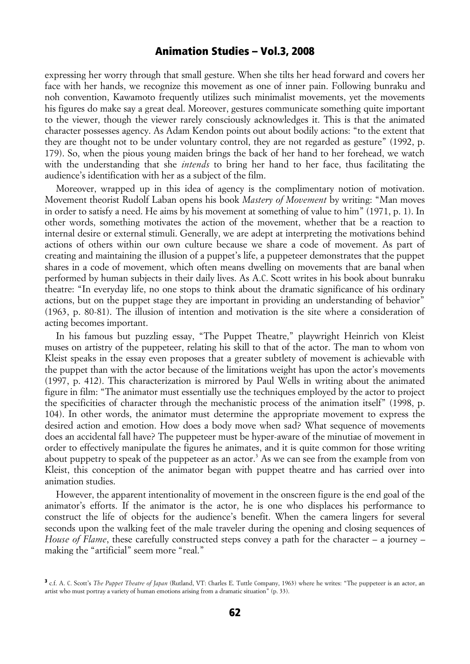expressing her worry through that small gesture. When she tilts her head forward and covers her face with her hands, we recognize this movement as one of inner pain. Following bunraku and noh convention, Kawamoto frequently utilizes such minimalist movements, yet the movements his figures do make say a great deal. Moreover, gestures communicate something quite important to the viewer, though the viewer rarely consciously acknowledges it. This is that the animated character possesses agency. As Adam Kendon points out about bodily actions: "to the extent that they are thought not to be under voluntary control, they are not regarded as gesture" (1992, p. 179). So, when the pious young maiden brings the back of her hand to her forehead, we watch with the understanding that she *intends* to bring her hand to her face, thus facilitating the audience's identification with her as a subject of the film.

Moreover, wrapped up in this idea of agency is the complimentary notion of motivation. Movement theorist Rudolf Laban opens his book *Mastery of Movement* by writing: "Man moves in order to satisfy a need. He aims by his movement at something of value to him" (1971, p. 1). In other words, something motivates the action of the movement, whether that be a reaction to internal desire or external stimuli. Generally, we are adept at interpreting the motivations behind actions of others within our own culture because we share a code of movement. As part of creating and maintaining the illusion of a puppet's life, a puppeteer demonstrates that the puppet shares in a code of movement, which often means dwelling on movements that are banal when performed by human subjects in their daily lives. As A.C. Scott writes in his book about bunraku theatre: "In everyday life, no one stops to think about the dramatic significance of his ordinary actions, but on the puppet stage they are important in providing an understanding of behavior" (1963, p. 80-81). The illusion of intention and motivation is the site where a consideration of acting becomes important.

In his famous but puzzling essay, "The Puppet Theatre," playwright Heinrich von Kleist muses on artistry of the puppeteer, relating his skill to that of the actor. The man to whom von Kleist speaks in the essay even proposes that a greater subtlety of movement is achievable with the puppet than with the actor because of the limitations weight has upon the actor's movements (1997, p. 412). This characterization is mirrored by Paul Wells in writing about the animated figure in film: "The animator must essentially use the techniques employed by the actor to project the specificities of character through the mechanistic process of the animation itself" (1998, p. 104). In other words, the animator must determine the appropriate movement to express the desired action and emotion. How does a body move when sad? What sequence of movements does an accidental fall have? The puppeteer must be hyper-aware of the minutiae of movement in order to effectively manipulate the figures he animates, and it is quite common for those writing about puppetry to speak of the puppeteer as an actor.<sup>3</sup> As we can see from the example from von Kleist, this conception of the animator began with puppet theatre and has carried over into animation studies.

However, the apparent intentionality of movement in the onscreen figure is the end goal of the animator's efforts. If the animator is the actor, he is one who displaces his performance to construct the life of objects for the audience's benefit. When the camera lingers for several seconds upon the walking feet of the male traveler during the opening and closing sequences of *House of Flame*, these carefully constructed steps convey a path for the character – a journey – making the "artificial" seem more "real."

<sup>3</sup> c.f. A. C. Scott's *The Puppet Theatre of Japan* (Rutland, VT: Charles E. Tuttle Company, 1963) where he writes: "The puppeteer is an actor, an artist who must portray a variety of human emotions arising from a dramatic situation" (p. 33).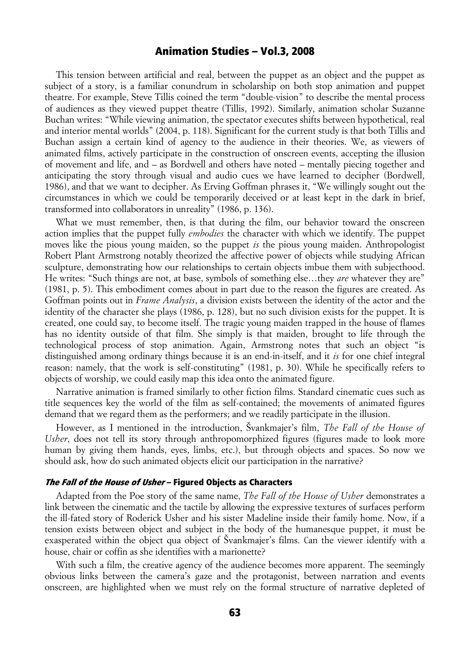This tension between artificial and real, between the puppet as an object and the puppet as subject of a story, is a familiar conundrum in scholarship on both stop animation and puppet theatre. For example, Steve Tillis coined the term "double-vision" to describe the mental process of audiences as they viewed puppet theatre (Tillis, 1992). Similarly, animation scholar Suzanne Buchan writes: "While viewing animation, the spectator executes shifts between hypothetical, real and interior mental worlds" (2004, p. 118). Significant for the current study is that both Tillis and Buchan assign a certain kind of agency to the audience in their theories. We, as viewers of animated films, actively participate in the construction of onscreen events, accepting the illusion of movement and life, and – as Bordwell and others have noted – mentally piecing together and anticipating the story through visual and audio cues we have learned to decipher (Bordwell, 1986), and that we want to decipher. As Erving Goffman phrases it, "We willingly sought out the circumstances in which we could be temporarily deceived or at least kept in the dark in brief, transformed into collaborators in unreality" (1986, p. 136).

What we must remember, then, is that during the film, our behavior toward the onscreen action implies that the puppet fully *embodies* the character with which we identify. The puppet moves like the pious young maiden, so the puppet *is* the pious young maiden. Anthropologist Robert Plant Armstrong notably theorized the affective power of objects while studying African sculpture, demonstrating how our relationships to certain objects imbue them with subjecthood. He writes: "Such things are not, at base, symbols of something else…they *are* whatever they are" (1981, p. 5). This embodiment comes about in part due to the reason the figures are created. As Goffman points out in *Frame Analysis*, a division exists between the identity of the actor and the identity of the character she plays (1986, p. 128), but no such division exists for the puppet. It is created, one could say, to become itself. The tragic young maiden trapped in the house of flames has no identity outside of that film. She simply is that maiden, brought to life through the technological process of stop animation. Again, Armstrong notes that such an object "is distinguished among ordinary things because it is an end-in-itself, and it *is* for one chief integral reason: namely, that the work is self-constituting" (1981, p. 30). While he specifically refers to objects of worship, we could easily map this idea onto the animated figure.

Narrative animation is framed similarly to other fiction films. Standard cinematic cues such as title sequences key the world of the film as self-contained; the movements of animated figures demand that we regard them as the performers; and we readily participate in the illusion.

However, as I mentioned in the introduction, Švankmajer's film, *The Fall of the House of Usher*, does not tell its story through anthropomorphized figures (figures made to look more human by giving them hands, eyes, limbs, etc.), but through objects and spaces. So now we should ask, how do such animated objects elicit our participation in the narrative?

#### The Fall of the House of Usher – Figured Objects as Characters

Adapted from the Poe story of the same name, *The Fall of the House of Usher* demonstrates a link between the cinematic and the tactile by allowing the expressive textures of surfaces perform the ill-fated story of Roderick Usher and his sister Madeline inside their family home. Now, if a tension exists between object and subject in the body of the humanesque puppet, it must be exasperated within the object qua object of Švankmajer's films. Can the viewer identify with a house, chair or coffin as she identifies with a marionette?

With such a film, the creative agency of the audience becomes more apparent. The seemingly obvious links between the camera's gaze and the protagonist, between narration and events onscreen, are highlighted when we must rely on the formal structure of narrative depleted of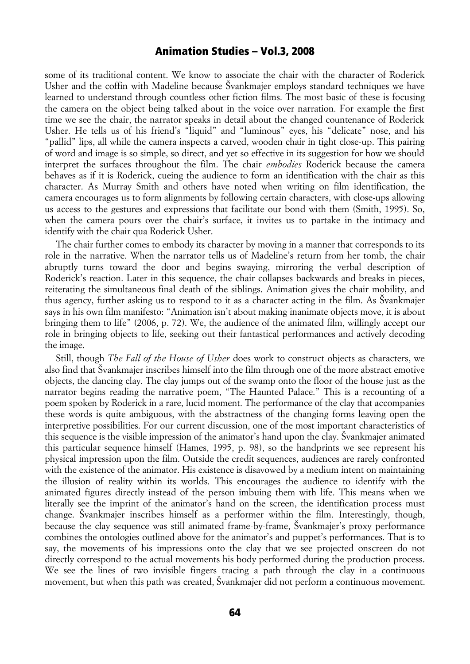some of its traditional content. We know to associate the chair with the character of Roderick Usher and the coffin with Madeline because Švankmajer employs standard techniques we have learned to understand through countless other fiction films. The most basic of these is focusing the camera on the object being talked about in the voice over narration. For example the first time we see the chair, the narrator speaks in detail about the changed countenance of Roderick Usher. He tells us of his friend's "liquid" and "luminous" eyes, his "delicate" nose, and his "pallid" lips, all while the camera inspects a carved, wooden chair in tight close-up. This pairing of word and image is so simple, so direct, and yet so effective in its suggestion for how we should interpret the surfaces throughout the film. The chair *embodies* Roderick because the camera behaves as if it is Roderick, cueing the audience to form an identification with the chair as this character. As Murray Smith and others have noted when writing on film identification, the camera encourages us to form alignments by following certain characters, with close-ups allowing us access to the gestures and expressions that facilitate our bond with them (Smith, 1995). So, when the camera pours over the chair's surface, it invites us to partake in the intimacy and identify with the chair qua Roderick Usher.

The chair further comes to embody its character by moving in a manner that corresponds to its role in the narrative. When the narrator tells us of Madeline's return from her tomb, the chair abruptly turns toward the door and begins swaying, mirroring the verbal description of Roderick's reaction. Later in this sequence, the chair collapses backwards and breaks in pieces, reiterating the simultaneous final death of the siblings. Animation gives the chair mobility, and thus agency, further asking us to respond to it as a character acting in the film. As Švankmajer says in his own film manifesto: "Animation isn't about making inanimate objects move, it is about bringing them to life" (2006, p. 72). We, the audience of the animated film, willingly accept our role in bringing objects to life, seeking out their fantastical performances and actively decoding the image.

Still, though *The Fall of the House of Usher* does work to construct objects as characters, we also find that Švankmajer inscribes himself into the film through one of the more abstract emotive objects, the dancing clay. The clay jumps out of the swamp onto the floor of the house just as the narrator begins reading the narrative poem, "The Haunted Palace." This is a recounting of a poem spoken by Roderick in a rare, lucid moment. The performance of the clay that accompanies these words is quite ambiguous, with the abstractness of the changing forms leaving open the interpretive possibilities. For our current discussion, one of the most important characteristics of this sequence is the visible impression of the animator's hand upon the clay. Švankmajer animated this particular sequence himself (Hames, 1995, p. 98), so the handprints we see represent his physical impression upon the film. Outside the credit sequences, audiences are rarely confronted with the existence of the animator. His existence is disavowed by a medium intent on maintaining the illusion of reality within its worlds. This encourages the audience to identify with the animated figures directly instead of the person imbuing them with life. This means when we literally see the imprint of the animator's hand on the screen, the identification process must change. Švankmajer inscribes himself as a performer within the film. Interestingly, though, because the clay sequence was still animated frame-by-frame, Švankmajer's proxy performance combines the ontologies outlined above for the animator's and puppet's performances. That is to say, the movements of his impressions onto the clay that we see projected onscreen do not directly correspond to the actual movements his body performed during the production process. We see the lines of two invisible fingers tracing a path through the clay in a continuous movement, but when this path was created, Švankmajer did not perform a continuous movement.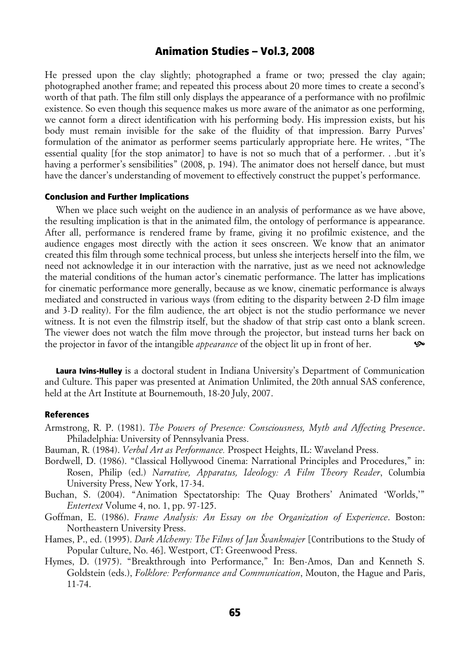He pressed upon the clay slightly; photographed a frame or two; pressed the clay again; photographed another frame; and repeated this process about 20 more times to create a second's worth of that path. The film still only displays the appearance of a performance with no profilmic existence. So even though this sequence makes us more aware of the animator as one performing, we cannot form a direct identification with his performing body. His impression exists, but his body must remain invisible for the sake of the fluidity of that impression. Barry Purves' formulation of the animator as performer seems particularly appropriate here. He writes, "The essential quality [for the stop animator] to have is not so much that of a performer. . .but it's having a performer's sensibilities" (2008, p. 194). The animator does not herself dance, but must have the dancer's understanding of movement to effectively construct the puppet's performance.

### Conclusion and Further Implications

When we place such weight on the audience in an analysis of performance as we have above, the resulting implication is that in the animated film, the ontology of performance is appearance. After all, performance is rendered frame by frame, giving it no profilmic existence, and the audience engages most directly with the action it sees onscreen. We know that an animator created this film through some technical process, but unless she interjects herself into the film, we need not acknowledge it in our interaction with the narrative, just as we need not acknowledge the material conditions of the human actor's cinematic performance. The latter has implications for cinematic performance more generally, because as we know, cinematic performance is always mediated and constructed in various ways (from editing to the disparity between 2-D film image and 3-D reality). For the film audience, the art object is not the studio performance we never witness. It is not even the filmstrip itself, but the shadow of that strip cast onto a blank screen. The viewer does not watch the film move through the projector, but instead turns her back on the projector in favor of the intangible *appearance* of the object lit up in front of her. ^

Laura Ivins-Hulley is a doctoral student in Indiana University's Department of Communication and Culture. This paper was presented at Animation Unlimited, the 20th annual SAS conference, held at the Art Institute at Bournemouth, 18-20 July, 2007.

### References

- Armstrong, R. P. (1981). *The Powers of Presence: Consciousness, Myth and Affecting Presence*. Philadelphia: University of Pennsylvania Press.
- Bauman, R. (1984). *Verbal Art as Performance.* Prospect Heights, IL: Waveland Press.
- Bordwell, D. (1986). "Classical Hollywood Cinema: Narrational Principles and Procedures," in: Rosen, Philip (ed.) *Narrative, Apparatus, Ideology: A Film Theory Reader*, Columbia University Press, New York, 17-34.
- Buchan, S. (2004). "Animation Spectatorship: The Quay Brothers' Animated 'Worlds,'" *Entertext* Volume 4, no. 1, pp. 97-125.
- Goffman, E. (1986). *Frame Analysis: An Essay on the Organization of Experience*. Boston: Northeastern University Press.
- Hames, P., ed. (1995). *Dark Alchemy: The Films of Jan Švankmajer* [Contributions to the Study of Popular Culture, No. 46]. Westport, CT: Greenwood Press.
- Hymes, D. (1975). "Breakthrough into Performance," In: Ben-Amos, Dan and Kenneth S. Goldstein (eds.), *Folklore: Performance and Communication*, Mouton, the Hague and Paris, 11-74.